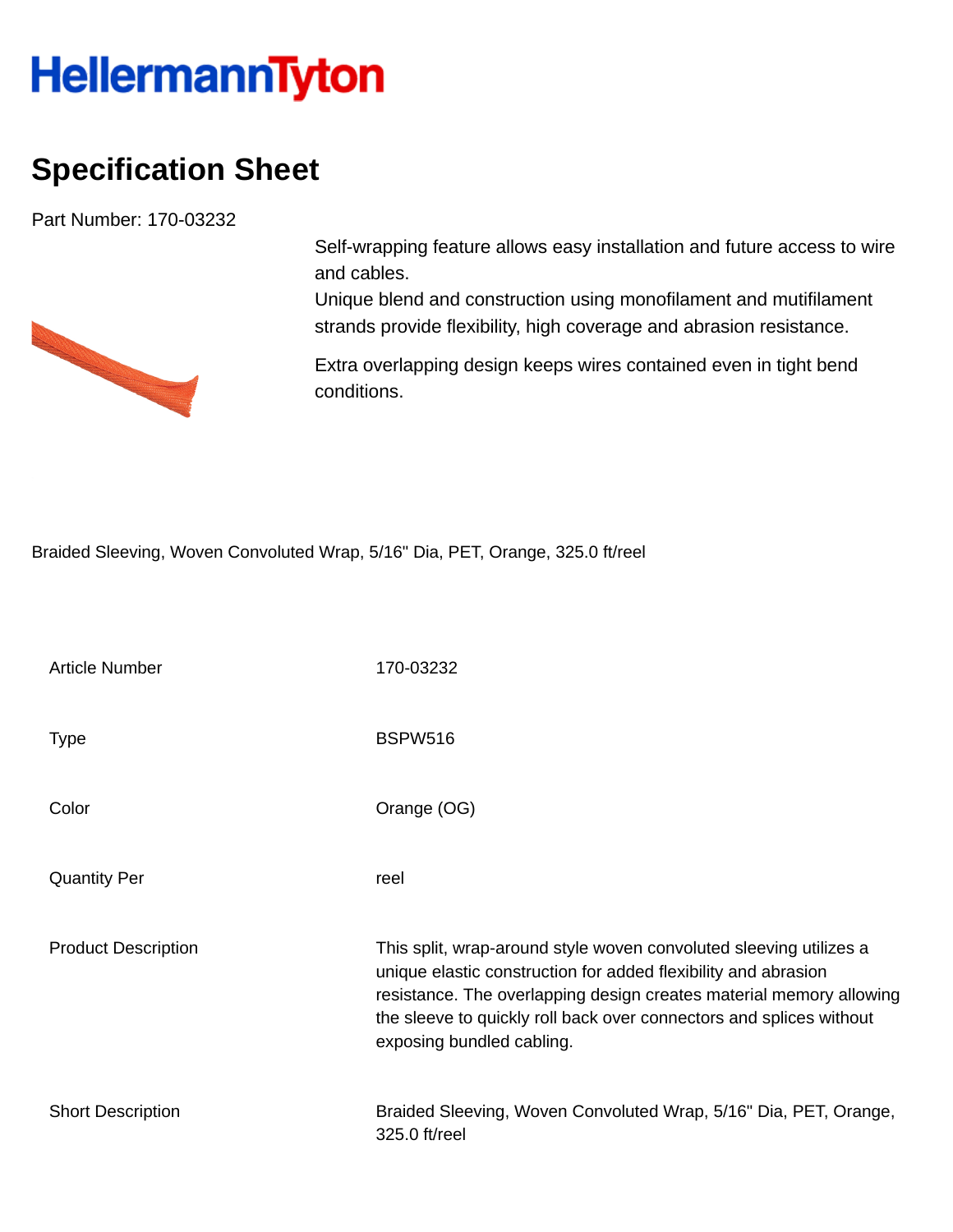## **HellermannTyton**

## **Specification Sheet**

Part Number: 170-03232



Self-wrapping feature allows easy installation and future access to wire and cables.

Unique blend and construction using monofilament and mutifilament strands provide flexibility, high coverage and abrasion resistance.

Extra overlapping design keeps wires contained even in tight bend conditions.

Braided Sleeving, Woven Convoluted Wrap, 5/16" Dia, PET, Orange, 325.0 ft/reel

| <b>Article Number</b>      | 170-03232                                                                                                                                                                                                                                                                                                       |
|----------------------------|-----------------------------------------------------------------------------------------------------------------------------------------------------------------------------------------------------------------------------------------------------------------------------------------------------------------|
| <b>Type</b>                | <b>BSPW516</b>                                                                                                                                                                                                                                                                                                  |
| Color                      | Orange (OG)                                                                                                                                                                                                                                                                                                     |
| <b>Quantity Per</b>        | reel                                                                                                                                                                                                                                                                                                            |
| <b>Product Description</b> | This split, wrap-around style woven convoluted sleeving utilizes a<br>unique elastic construction for added flexibility and abrasion<br>resistance. The overlapping design creates material memory allowing<br>the sleeve to quickly roll back over connectors and splices without<br>exposing bundled cabling. |
| <b>Short Description</b>   | Braided Sleeving, Woven Convoluted Wrap, 5/16" Dia, PET, Orange,<br>325.0 ft/reel                                                                                                                                                                                                                               |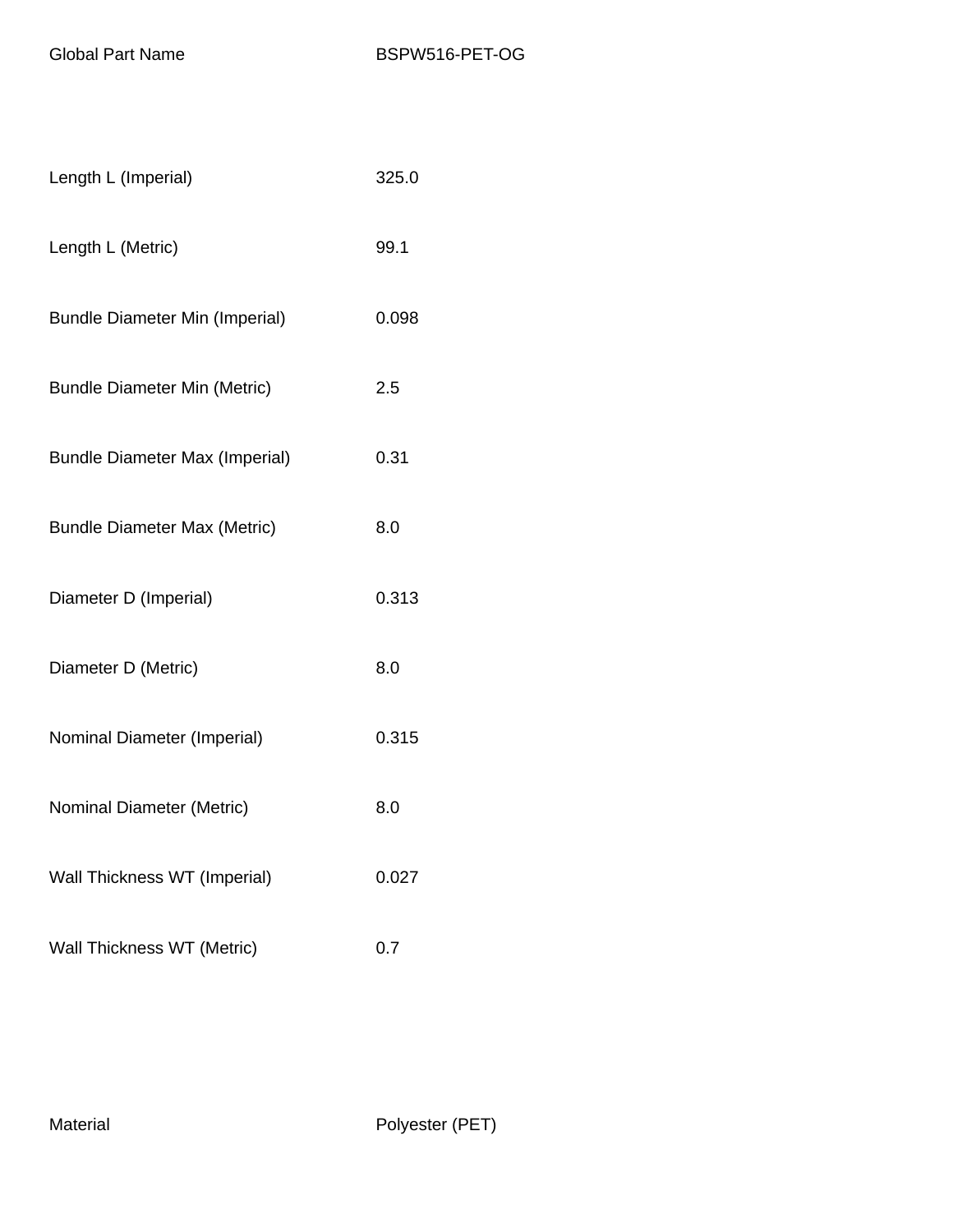| Length L (Imperial)                   | 325.0 |
|---------------------------------------|-------|
| Length L (Metric)                     | 99.1  |
| <b>Bundle Diameter Min (Imperial)</b> | 0.098 |
| <b>Bundle Diameter Min (Metric)</b>   | 2.5   |
| <b>Bundle Diameter Max (Imperial)</b> | 0.31  |
| <b>Bundle Diameter Max (Metric)</b>   | 8.0   |
| Diameter D (Imperial)                 | 0.313 |
| Diameter D (Metric)                   | 8.0   |
| Nominal Diameter (Imperial)           | 0.315 |
| Nominal Diameter (Metric)             | 8.0   |
| Wall Thickness WT (Imperial)          | 0.027 |
| Wall Thickness WT (Metric)            | 0.7   |